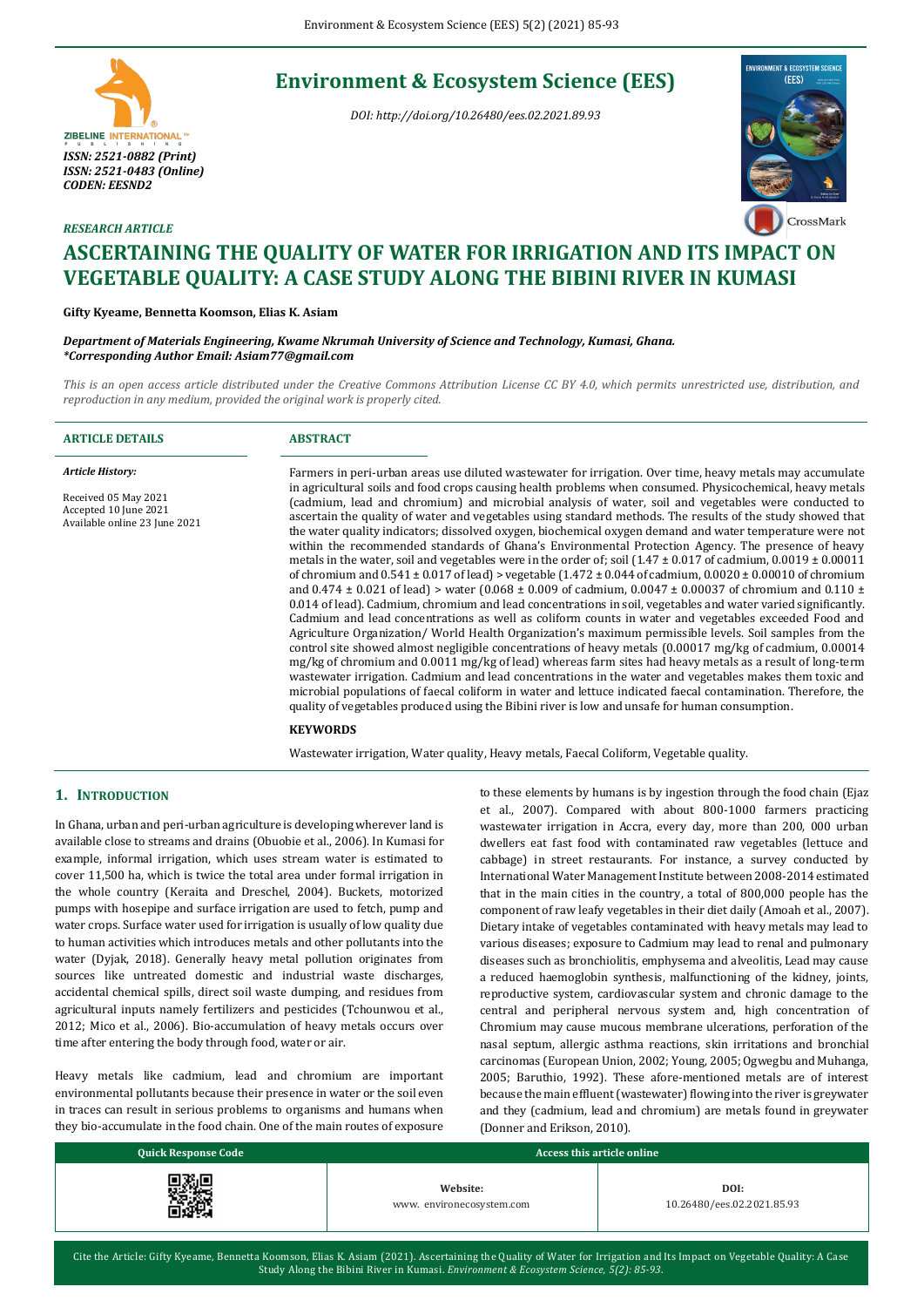# **Environment & Ecosystem Science (EES)**

*DOI: http://doi.org/10.26480/ees.02.2021.89.93*





# *RESEARCH ARTICLE* **ASCERTAINING THE QUALITY OF WATER FOR IRRIGATION AND ITS IMPACT ON VEGETABLE QUALITY: A CASE STUDY ALONG THE BIBINI RIVER IN KUMASI**

## **Gifty Kyeame, Bennetta Koomson, Elias K. Asiam**

*Department of Materials Engineering, Kwame Nkrumah University of Science and Technology, Kumasi, Ghana. \*Corresponding Author Email: Asiam77@gmail.com*

*This is an open access article distributed under the Creative Commons Attribution License CC BY 4.0, which permits unrestricted use, distribution, and reproduction in any medium, provided the original work is properly cited.*

| <b>ARTICLE DETAILS</b>                                                                                    | <b>ABSTRACT</b>                                                                                                                                                                                                                                                                                                                                                                                                                                                                                                                                                                                                                                                                                                                                                                                                                                                                                                                                                                                                                                                                                                                                                                                                                                                                                                                                                                                                                                                                                                                                                                                                                                                                                                                                                                                                                                                                                                                                                                                                                                              |
|-----------------------------------------------------------------------------------------------------------|--------------------------------------------------------------------------------------------------------------------------------------------------------------------------------------------------------------------------------------------------------------------------------------------------------------------------------------------------------------------------------------------------------------------------------------------------------------------------------------------------------------------------------------------------------------------------------------------------------------------------------------------------------------------------------------------------------------------------------------------------------------------------------------------------------------------------------------------------------------------------------------------------------------------------------------------------------------------------------------------------------------------------------------------------------------------------------------------------------------------------------------------------------------------------------------------------------------------------------------------------------------------------------------------------------------------------------------------------------------------------------------------------------------------------------------------------------------------------------------------------------------------------------------------------------------------------------------------------------------------------------------------------------------------------------------------------------------------------------------------------------------------------------------------------------------------------------------------------------------------------------------------------------------------------------------------------------------------------------------------------------------------------------------------------------------|
| <b>Article History:</b><br>Received 05 May 2021<br>Accepted 10 June 2021<br>Available online 23 June 2021 | Farmers in peri-urban areas use diluted wastewater for irrigation. Over time, heavy metals may accumulate<br>in agricultural soils and food crops causing health problems when consumed. Physicochemical, heavy metals<br>(cadmium, lead and chromium) and microbial analysis of water, soil and vegetables were conducted to<br>ascertain the quality of water and vegetables using standard methods. The results of the study showed that<br>the water quality indicators; dissolved oxygen, biochemical oxygen demand and water temperature were not<br>within the recommended standards of Ghana's Environmental Protection Agency. The presence of heavy<br>metals in the water, soil and vegetables were in the order of; soil $(1.47 \pm 0.017)$ of cadmium, $0.0019 \pm 0.00011$<br>of chromium and $0.541 \pm 0.017$ of lead) > vegetable $(1.472 \pm 0.044$ of cadmium, $0.0020 \pm 0.00010$ of chromium<br>and 0.474 $\pm$ 0.021 of lead) > water (0.068 $\pm$ 0.009 of cadmium, 0.0047 $\pm$ 0.00037 of chromium and 0.110 $\pm$<br>0.014 of lead). Cadmium, chromium and lead concentrations in soil, vegetables and water varied significantly.<br>Cadmium and lead concentrations as well as coliform counts in water and vegetables exceeded Food and<br>Agriculture Organization/World Health Organization's maximum permissible levels. Soil samples from the<br>control site showed almost negligible concentrations of heavy metals $(0.00017 \text{ mg/kg})$ of cadmium, 0.00014<br>mg/kg of chromium and 0.0011 mg/kg of lead) whereas farm sites had heavy metals as a result of long-term<br>wastewater irrigation. Cadmium and lead concentrations in the water and vegetables makes them toxic and<br>microbial populations of faecal coliform in water and lettuce indicated faecal contamination. Therefore, the<br>quality of vegetables produced using the Bibini river is low and unsafe for human consumption.<br><b>KEYWORDS</b><br>Wastewater irrigation, Water quality, Heavy metals, Faecal Coliform, Vegetable quality. |
|                                                                                                           |                                                                                                                                                                                                                                                                                                                                                                                                                                                                                                                                                                                                                                                                                                                                                                                                                                                                                                                                                                                                                                                                                                                                                                                                                                                                                                                                                                                                                                                                                                                                                                                                                                                                                                                                                                                                                                                                                                                                                                                                                                                              |

#### **1. INTRODUCTION**

In Ghana, urban and peri-urban agriculture is developing wherever land is available close to streams and drains (Obuobie et al., 2006). In Kumasi for example, informal irrigation, which uses stream water is estimated to cover 11,500 ha, which is twice the total area under formal irrigation in the whole country (Keraita and Dreschel, 2004). Buckets, motorized pumps with hosepipe and surface irrigation are used to fetch, pump and water crops. Surface water used for irrigation is usually of low quality due to human activities which introduces metals and other pollutants into the water (Dyjak, 2018). Generally heavy metal pollution originates from sources like untreated domestic and industrial waste discharges, accidental chemical spills, direct soil waste dumping, and residues from agricultural inputs namely fertilizers and pesticides (Tchounwou et al., 2012; Mico et al., 2006). Bio-accumulation of heavy metals occurs over time after entering the body through food, water or air.

Heavy metals like cadmium, lead and chromium are important environmental pollutants because their presence in water or the soil even in traces can result in serious problems to organisms and humans when they bio-accumulate in the food chain. One of the main routes of exposure to these elements by humans is by ingestion through the food chain (Ejaz et al., 2007). Compared with about 800-1000 farmers practicing wastewater irrigation in Accra, every day, more than 200, 000 urban dwellers eat fast food with contaminated raw vegetables (lettuce and cabbage) in street restaurants. For instance, a survey conducted by International Water Management Institute between 2008-2014 estimated that in the main cities in the country, a total of 800,000 people has the component of raw leafy vegetables in their diet daily (Amoah et al., 2007). Dietary intake of vegetables contaminated with heavy metals may lead to various diseases; exposure to Cadmium may lead to renal and pulmonary diseases such as bronchiolitis, emphysema and alveolitis, Lead may cause a reduced haemoglobin synthesis, malfunctioning of the kidney, joints, reproductive system, cardiovascular system and chronic damage to the central and peripheral nervous system and, high concentration of Chromium may cause mucous membrane ulcerations, perforation of the nasal septum, allergic asthma reactions, skin irritations and bronchial carcinomas (European Union, 2002; Young, 2005; Ogwegbu and Muhanga, 2005; Baruthio, 1992). These afore-mentioned metals are of interest because the main effluent (wastewater) flowing into the river is greywater and they (cadmium, lead and chromium) are metals found in greywater (Donner and Erikson, 2010).

| <b>Quick Response Code</b> | Access this article online           |                                    |  |
|----------------------------|--------------------------------------|------------------------------------|--|
| 76E.                       | Website:<br>www.environecosystem.com | DOI:<br>10.26480/ees.02.2021.85.93 |  |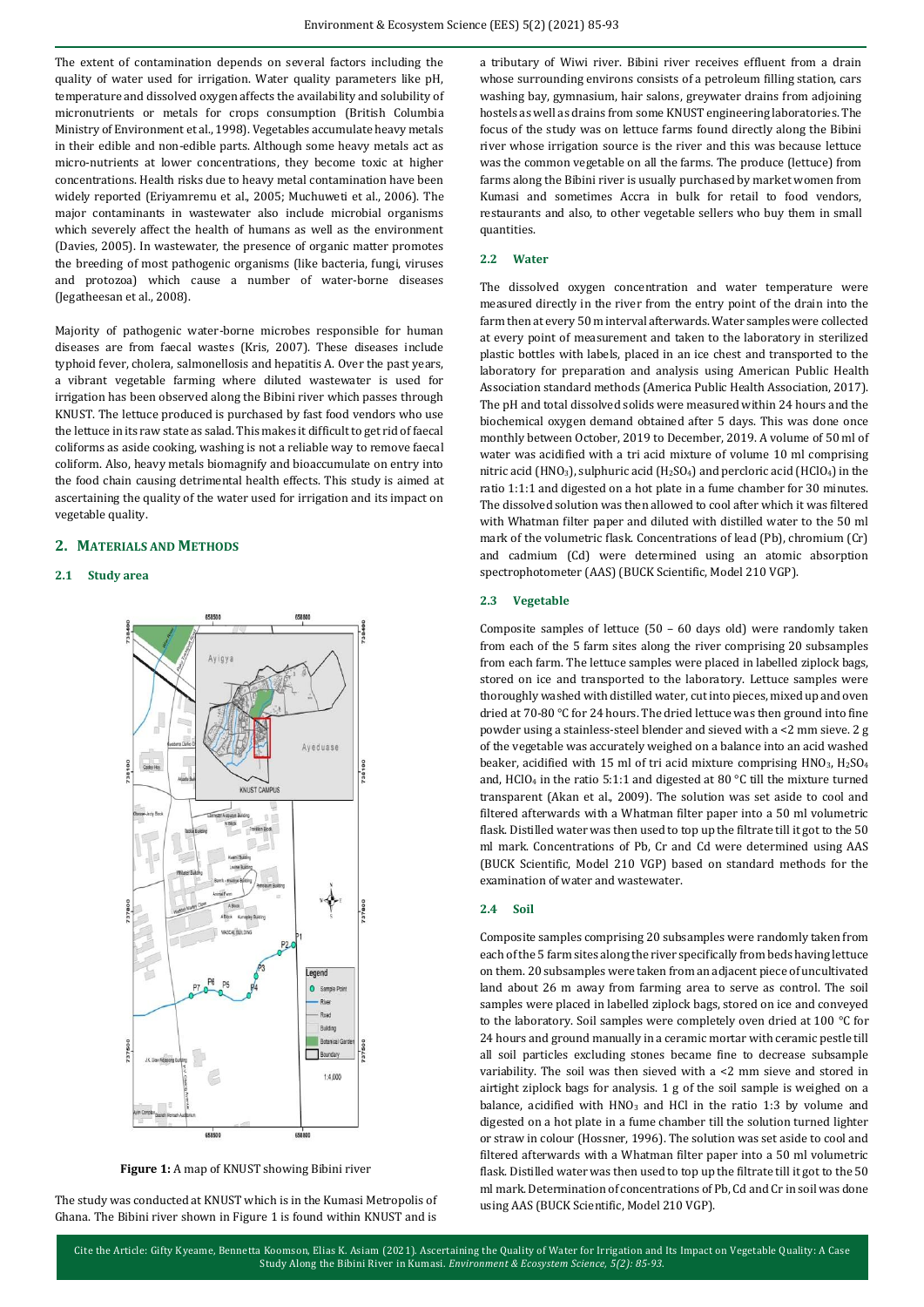The extent of contamination depends on several factors including the quality of water used for irrigation. Water quality parameters like pH, temperature and dissolved oxygen affects the availability and solubility of micronutrients or metals for crops consumption (British Columbia Ministry of Environment et al., 1998). Vegetables accumulate heavy metals in their edible and non-edible parts. Although some heavy metals act as micro-nutrients at lower concentrations, they become toxic at higher concentrations. Health risks due to heavy metal contamination have been widely reported (Eriyamremu et al., 2005; Muchuweti et al., 2006). The major contaminants in wastewater also include microbial organisms which severely affect the health of humans as well as the environment (Davies, 2005). In wastewater, the presence of organic matter promotes the breeding of most pathogenic organisms (like bacteria, fungi, viruses and protozoa) which cause a number of water-borne diseases (Jegatheesan et al., 2008).

Majority of pathogenic water-borne microbes responsible for human diseases are from faecal wastes (Kris, 2007). These diseases include typhoid fever, cholera, salmonellosis and hepatitis A. Over the past years, a vibrant vegetable farming where diluted wastewater is used for irrigation has been observed along the Bibini river which passes through KNUST. The lettuce produced is purchased by fast food vendors who use the lettuce in its raw state as salad. This makes it difficult to get rid of faecal coliforms as aside cooking, washing is not a reliable way to remove faecal coliform. Also, heavy metals biomagnify and bioaccumulate on entry into the food chain causing detrimental health effects. This study is aimed at ascertaining the quality of the water used for irrigation and its impact on vegetable quality.

#### **2. MATERIALS AND METHODS**

## **2.1 Study area**



**Figure 1:** A map of KNUST showing Bibini river

The study was conducted at KNUST which is in the Kumasi Metropolis of Ghana. The Bibini river shown in Figure 1 is found within KNUST and is

a tributary of Wiwi river. Bibini river receives effluent from a drain whose surrounding environs consists of a petroleum filling station, cars washing bay, gymnasium, hair salons, greywater drains from adjoining hostels as well as drains from some KNUST engineering laboratories. The focus of the study was on lettuce farms found directly along the Bibini river whose irrigation source is the river and this was because lettuce was the common vegetable on all the farms. The produce (lettuce) from farms along the Bibini river is usually purchased by market women from Kumasi and sometimes Accra in bulk for retail to food vendors, restaurants and also, to other vegetable sellers who buy them in small quantities.

# **2.2 Water**

The dissolved oxygen concentration and water temperature were measured directly in the river from the entry point of the drain into the farm then at every 50 m interval afterwards. Water samples were collected at every point of measurement and taken to the laboratory in sterilized plastic bottles with labels, placed in an ice chest and transported to the laboratory for preparation and analysis using American Public Health Association standard methods (America Public Health Association, 2017). The pH and total dissolved solids were measured within 24 hours and the biochemical oxygen demand obtained after 5 days. This was done once monthly between October, 2019 to December, 2019. A volume of 50 ml of water was acidified with a tri acid mixture of volume 10 ml comprising nitric acid (HNO<sub>3</sub>), sulphuric acid (H<sub>2</sub>SO<sub>4</sub>) and percloric acid (HClO<sub>4</sub>) in the ratio 1:1:1 and digested on a hot plate in a fume chamber for 30 minutes. The dissolved solution was then allowed to cool after which it was filtered with Whatman filter paper and diluted with distilled water to the 50 ml mark of the volumetric flask. Concentrations of lead (Pb), chromium (Cr) and cadmium (Cd) were determined using an atomic absorption spectrophotometer (AAS) (BUCK Scientific, Model 210 VGP).

#### **2.3 Vegetable**

Composite samples of lettuce (50 – 60 days old) were randomly taken from each of the 5 farm sites along the river comprising 20 subsamples from each farm. The lettuce samples were placed in labelled ziplock bags, stored on ice and transported to the laboratory. Lettuce samples were thoroughly washed with distilled water, cut into pieces, mixed up and oven dried at 70-80 °C for 24 hours. The dried lettuce was then ground into fine powder using a stainless-steel blender and sieved with a <2 mm sieve. 2 g of the vegetable was accurately weighed on a balance into an acid washed beaker, acidified with 15 ml of tri acid mixture comprising  $HNO<sub>3</sub>$ ,  $H<sub>2</sub>SO<sub>4</sub>$ and, HClO<sub>4</sub> in the ratio 5:1:1 and digested at 80 °C till the mixture turned transparent (Akan et al., 2009). The solution was set aside to cool and filtered afterwards with a Whatman filter paper into a 50 ml volumetric flask. Distilled water was then used to top up the filtrate till it got to the 50 ml mark. Concentrations of Pb, Cr and Cd were determined using AAS (BUCK Scientific, Model 210 VGP) based on standard methods for the examination of water and wastewater.

#### **2.4 Soil**

Composite samples comprising 20 subsamples were randomly taken from each of the 5 farm sites along the river specifically from beds having lettuce on them. 20 subsamples were taken from an adjacent piece of uncultivated land about 26 m away from farming area to serve as control. The soil samples were placed in labelled ziplock bags, stored on ice and conveyed to the laboratory. Soil samples were completely oven dried at 100 °C for 24 hours and ground manually in a ceramic mortar with ceramic pestle till all soil particles excluding stones became fine to decrease subsample variability. The soil was then sieved with a <2 mm sieve and stored in airtight ziplock bags for analysis. 1 g of the soil sample is weighed on a balance, acidified with  $HNO<sub>3</sub>$  and HCl in the ratio 1:3 by volume and digested on a hot plate in a fume chamber till the solution turned lighter or straw in colour (Hossner, 1996). The solution was set aside to cool and filtered afterwards with a Whatman filter paper into a 50 ml volumetric flask. Distilled water was then used to top up the filtrate till it got to the 50 ml mark. Determination of concentrations of Pb, Cd and Cr in soil was done using AAS (BUCK Scientific, Model 210 VGP).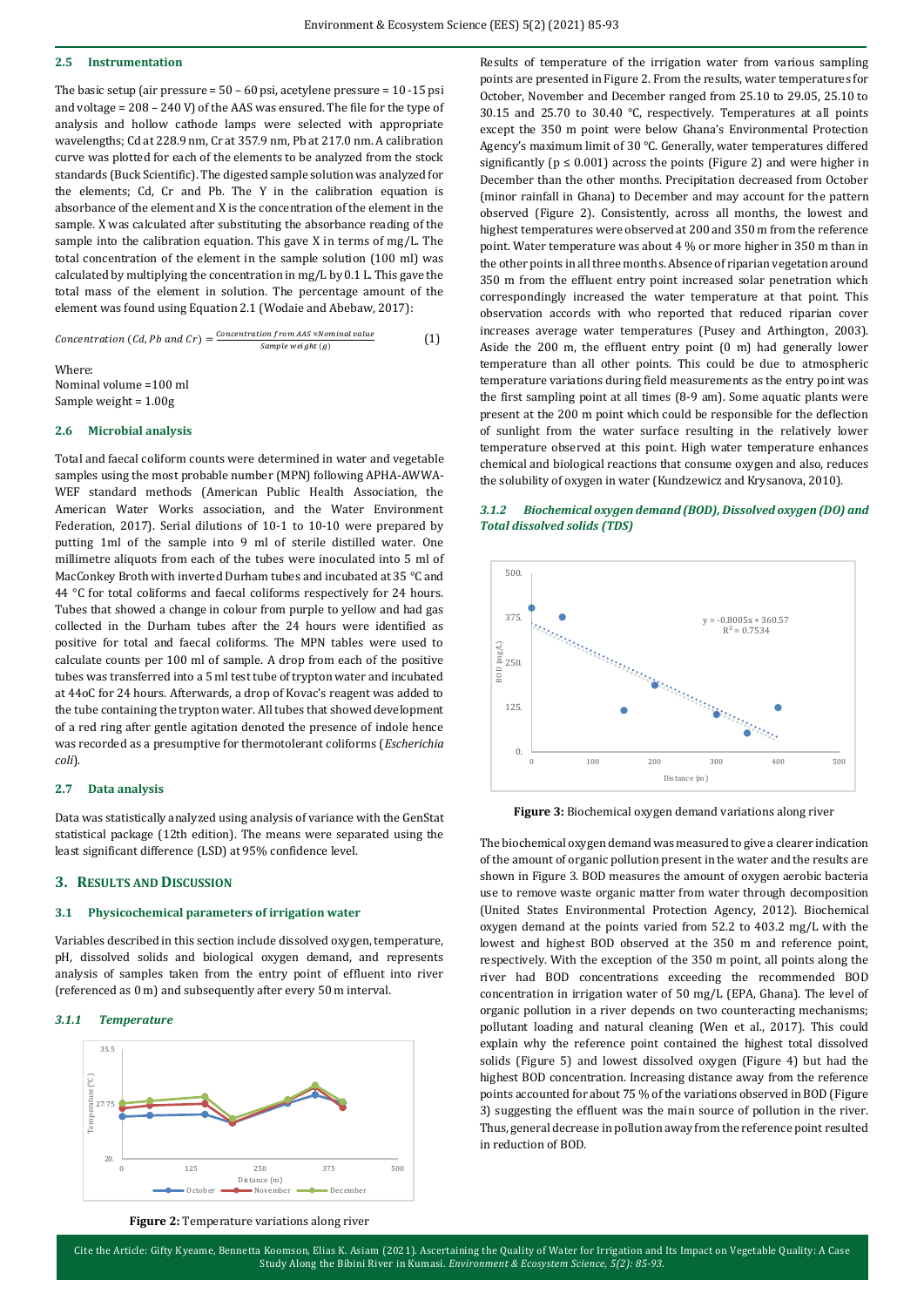#### **2.5 Instrumentation**

The basic setup (air pressure = 50 – 60 psi, acetylene pressure = 10 -15 psi and voltage = 208 – 240 V) of the AAS was ensured. The file for the type of analysis and hollow cathode lamps were selected with appropriate wavelengths; Cd at 228.9 nm, Cr at 357.9 nm, Pb at 217.0 nm. A calibration curve was plotted for each of the elements to be analyzed from the stock standards (Buck Scientific). The digested sample solution was analyzed for the elements; Cd, Cr and Pb. The Y in the calibration equation is absorbance of the element and X is the concentration of the element in the sample. X was calculated after substituting the absorbance reading of the sample into the calibration equation. This gave X in terms of mg/L. The total concentration of the element in the sample solution (100 ml) was calculated by multiplying the concentration in mg/L by 0.1 L. This gave the total mass of the element in solution. The percentage amount of the element was found using Equation 2.1 (Wodaie and Abebaw, 2017):

$$
Concentration (Cd, Pb and Cr) = \frac{Concentration from AAS \times Nominal value}{Sample weight (g)}
$$
 (1)

Where: Nominal volume =100 ml Sample weight = 1.00g

#### **2.6 Microbial analysis**

Total and faecal coliform counts were determined in water and vegetable samples using the most probable number (MPN) following APHA-AWWA-WEF standard methods (American Public Health Association, the American Water Works association, and the Water Environment Federation, 2017). Serial dilutions of 10-1 to 10-10 were prepared by putting 1ml of the sample into 9 ml of sterile distilled water. One millimetre aliquots from each of the tubes were inoculated into 5 ml of MacConkey Broth with inverted Durham tubes and incubated at 35 °C and 44 °C for total coliforms and faecal coliforms respectively for 24 hours. Tubes that showed a change in colour from purple to yellow and had gas collected in the Durham tubes after the 24 hours were identified as positive for total and faecal coliforms. The MPN tables were used to calculate counts per 100 ml of sample. A drop from each of the positive tubes was transferred into a 5 ml test tube of trypton water and incubated at 44oC for 24 hours. Afterwards, a drop of Kovac's reagent was added to the tube containing the trypton water. All tubes that showed development of a red ring after gentle agitation denoted the presence of indole hence was recorded as a presumptive for thermotolerant coliforms (*Escherichia coli*).

#### **2.7 Data analysis**

Data was statistically analyzed using analysis of variance with the GenStat statistical package (12th edition). The means were separated using the least significant difference (LSD) at 95% confidence level.

#### **3. RESULTS AND DISCUSSION**

#### **3.1 Physicochemical parameters of irrigation water**

Variables described in this section include dissolved oxygen, temperature, pH, dissolved solids and biological oxygen demand, and represents analysis of samples taken from the entry point of effluent into river (referenced as 0 m) and subsequently after every 50 m interval.

### *3.1.1 Temperature*



points are presented in Figure 2. From the results, water temperatures for October, November and December ranged from 25.10 to 29.05, 25.10 to 30.15 and 25.70 to 30.40 °C, respectively. Temperatures at all points except the 350 m point were below Ghana's Environmental Protection Agency's maximum limit of 30 °C. Generally, water temperatures differed significantly ( $p \le 0.001$ ) across the points (Figure 2) and were higher in December than the other months. Precipitation decreased from October (minor rainfall in Ghana) to December and may account for the pattern observed (Figure 2). Consistently, across all months, the lowest and highest temperatures were observed at 200 and 350 m from the reference point. Water temperature was about 4 % or more higher in 350 m than in the other points in all three months. Absence of riparian vegetation around 350 m from the effluent entry point increased solar penetration which correspondingly increased the water temperature at that point. This observation accords with who reported that reduced riparian cover increases average water temperatures (Pusey and Arthington, 2003). Aside the 200 m, the effluent entry point (0 m) had generally lower temperature than all other points. This could be due to atmospheric temperature variations during field measurements as the entry point was the first sampling point at all times (8-9 am). Some aquatic plants were present at the 200 m point which could be responsible for the deflection of sunlight from the water surface resulting in the relatively lower temperature observed at this point. High water temperature enhances chemical and biological reactions that consume oxygen and also, reduces the solubility of oxygen in water (Kundzewicz and Krysanova, 2010).

Results of temperature of the irrigation water from various sampling





**Figure 3:** Biochemical oxygen demand variations along river

The biochemical oxygen demand was measured to give a clearer indication of the amount of organic pollution present in the water and the results are shown in Figure 3. BOD measures the amount of oxygen aerobic bacteria use to remove waste organic matter from water through decomposition (United States Environmental Protection Agency, 2012). Biochemical oxygen demand at the points varied from 52.2 to 403.2 mg/L with the lowest and highest BOD observed at the 350 m and reference point, respectively. With the exception of the 350 m point, all points along the river had BOD concentrations exceeding the recommended BOD concentration in irrigation water of 50 mg/L (EPA, Ghana). The level of organic pollution in a river depends on two counteracting mechanisms; pollutant loading and natural cleaning (Wen et al., 2017). This could explain why the reference point contained the highest total dissolved solids (Figure 5) and lowest dissolved oxygen (Figure 4) but had the highest BOD concentration. Increasing distance away from the reference points accounted for about 75 % of the variations observed in BOD (Figure 3) suggesting the effluent was the main source of pollution in the river. Thus, general decrease in pollution away from the reference point resulted in reduction of BOD.

**Figure 2:** Temperature variations along river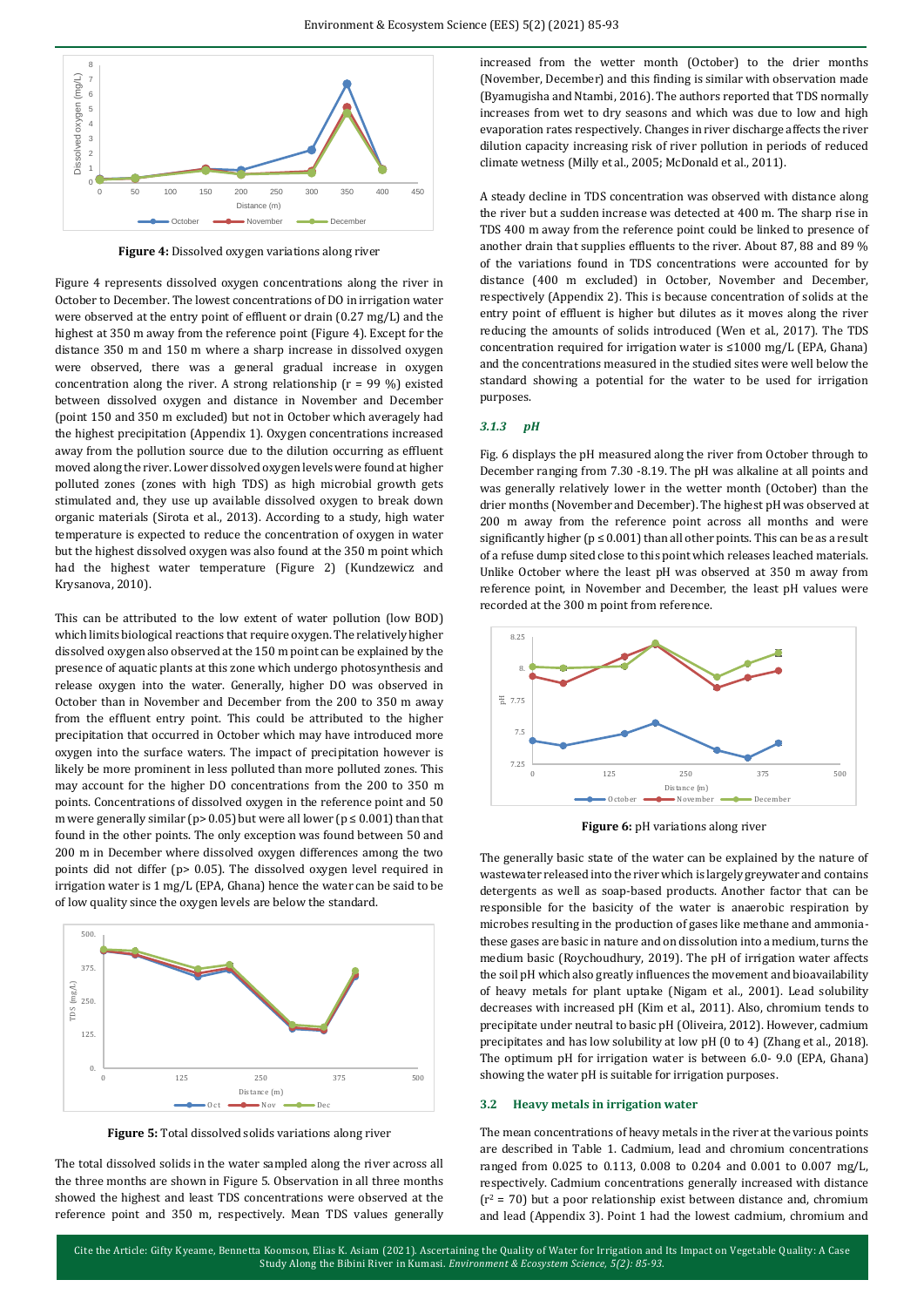

**Figure 4:** Dissolved oxygen variations along river

Figure 4 represents dissolved oxygen concentrations along the river in October to December. The lowest concentrations of DO in irrigation water were observed at the entry point of effluent or drain (0.27 mg/L) and the highest at 350 m away from the reference point (Figure 4). Except for the distance 350 m and 150 m where a sharp increase in dissolved oxygen were observed, there was a general gradual increase in oxygen concentration along the river. A strong relationship (r = 99 %) existed between dissolved oxygen and distance in November and December (point 150 and 350 m excluded) but not in October which averagely had the highest precipitation (Appendix 1). Oxygen concentrations increased away from the pollution source due to the dilution occurring as effluent moved along the river. Lower dissolved oxygen levels were found at higher polluted zones (zones with high TDS) as high microbial growth gets stimulated and, they use up available dissolved oxygen to break down organic materials (Sirota et al., 2013). According to a study, high water temperature is expected to reduce the concentration of oxygen in water but the highest dissolved oxygen was also found at the 350 m point which had the highest water temperature (Figure 2) (Kundzewicz and Krysanova, 2010).

This can be attributed to the low extent of water pollution (low BOD) which limits biological reactions that require oxygen. The relatively higher dissolved oxygen also observed at the 150 m point can be explained by the presence of aquatic plants at this zone which undergo photosynthesis and release oxygen into the water. Generally, higher DO was observed in October than in November and December from the 200 to 350 m away from the effluent entry point. This could be attributed to the higher precipitation that occurred in October which may have introduced more oxygen into the surface waters. The impact of precipitation however is likely be more prominent in less polluted than more polluted zones. This may account for the higher DO concentrations from the 200 to 350 m points. Concentrations of dissolved oxygen in the reference point and 50 m were generally similar (p> 0.05) but were all lower (p  $\leq$  0.001) than that found in the other points. The only exception was found between 50 and 200 m in December where dissolved oxygen differences among the two points did not differ (p> 0.05). The dissolved oxygen level required in irrigation water is 1 mg/L (EPA, Ghana) hence the water can be said to be of low quality since the oxygen levels are below the standard.



**Figure 5:** Total dissolved solids variations along river

The total dissolved solids in the water sampled along the river across all the three months are shown in Figure 5. Observation in all three months showed the highest and least TDS concentrations were observed at the reference point and 350 m, respectively. Mean TDS values generally

increased from the wetter month (October) to the drier months (November, December) and this finding is similar with observation made (Byamugisha and Ntambi, 2016). The authors reported that TDS normally increases from wet to dry seasons and which was due to low and high evaporation rates respectively. Changes in river discharge affects the river dilution capacity increasing risk of river pollution in periods of reduced climate wetness (Milly et al., 2005; McDonald et al., 2011).

A steady decline in TDS concentration was observed with distance along the river but a sudden increase was detected at 400 m. The sharp rise in TDS 400 m away from the reference point could be linked to presence of another drain that supplies effluents to the river. About 87, 88 and 89 % of the variations found in TDS concentrations were accounted for by distance (400 m excluded) in October, November and December, respectively (Appendix 2). This is because concentration of solids at the entry point of effluent is higher but dilutes as it moves along the river reducing the amounts of solids introduced (Wen et al., 2017). The TDS concentration required for irrigation water is ≤1000 mg/L (EPA, Ghana) and the concentrations measured in the studied sites were well below the standard showing a potential for the water to be used for irrigation purposes.

#### *3.1.3 pH*

Fig. 6 displays the pH measured along the river from October through to December ranging from 7.30 -8.19. The pH was alkaline at all points and was generally relatively lower in the wetter month (October) than the drier months (November and December). The highest pH was observed at 200 m away from the reference point across all months and were significantly higher ( $p \le 0.001$ ) than all other points. This can be as a result of a refuse dump sited close to this point which releases leached materials. Unlike October where the least pH was observed at 350 m away from reference point, in November and December, the least pH values were recorded at the 300 m point from reference.



**Figure 6:** pH variations along river

The generally basic state of the water can be explained by the nature of wastewater released into the river which is largely greywater and contains detergents as well as soap-based products. Another factor that can be responsible for the basicity of the water is anaerobic respiration by microbes resulting in the production of gases like methane and ammoniathese gases are basic in nature and on dissolution into a medium, turns the medium basic (Roychoudhury, 2019). The pH of irrigation water affects the soil pH which also greatly influences the movement and bioavailability of heavy metals for plant uptake (Nigam et al., 2001). Lead solubility decreases with increased pH (Kim et al., 2011). Also, chromium tends to precipitate under neutral to basic pH (Oliveira, 2012). However, cadmium precipitates and has low solubility at low pH (0 to 4) (Zhang et al., 2018). The optimum pH for irrigation water is between 6.0- 9.0 (EPA, Ghana) showing the water pH is suitable for irrigation purposes.

#### **3.2 Heavy metals in irrigation water**

The mean concentrations of heavy metals in the river at the various points are described in Table 1. Cadmium, lead and chromium concentrations ranged from 0.025 to 0.113, 0.008 to 0.204 and 0.001 to 0.007 mg/L, respectively. Cadmium concentrations generally increased with distance  $(r^2 = 70)$  but a poor relationship exist between distance and, chromium and lead (Appendix 3). Point 1 had the lowest cadmium, chromium and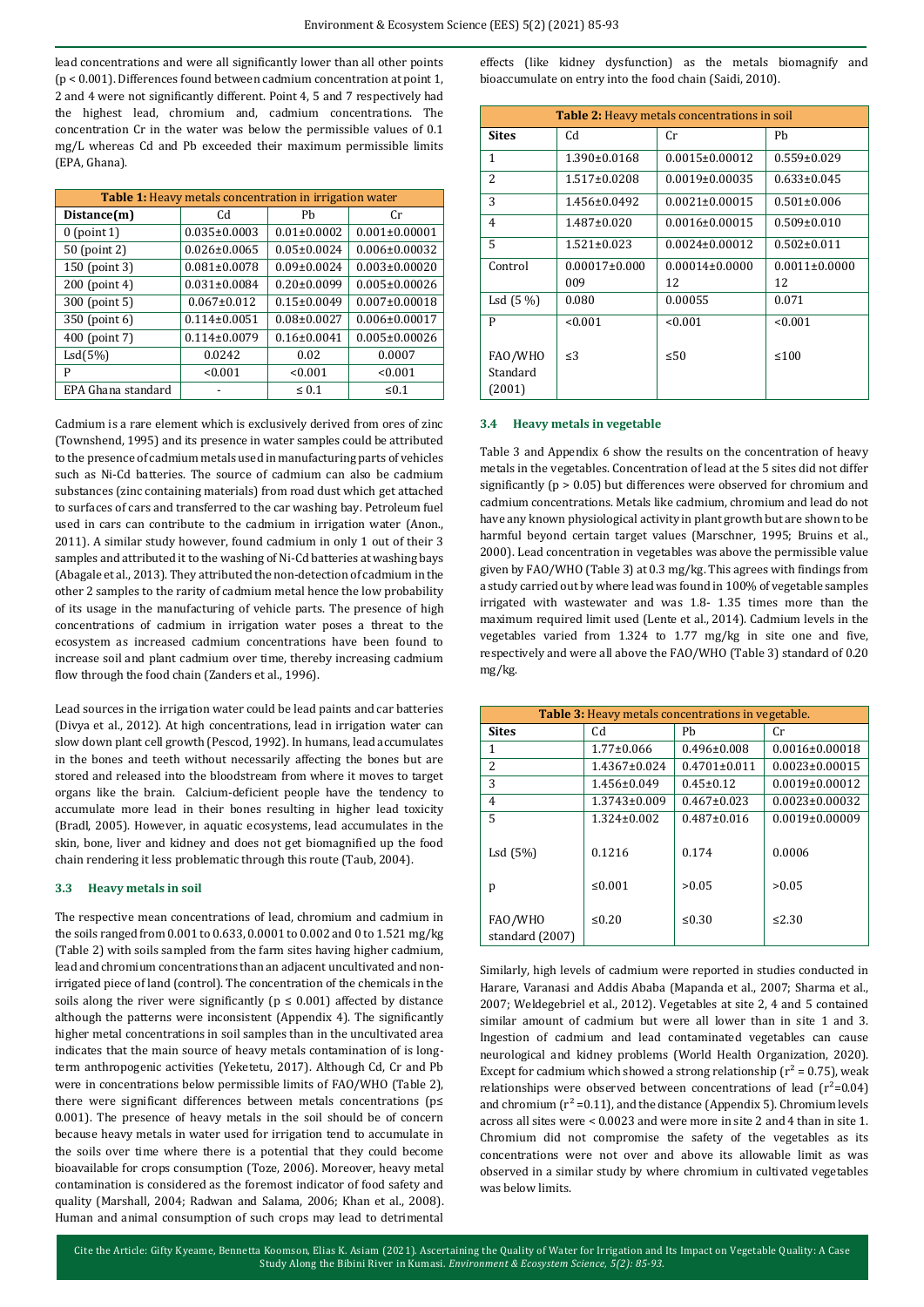lead concentrations and were all significantly lower than all other points (p < 0.001). Differences found between cadmium concentration at point 1, 2 and 4 were not significantly different. Point 4, 5 and 7 respectively had the highest lead, chromium and, cadmium concentrations. The concentration Cr in the water was below the permissible values of 0.1 mg/L whereas Cd and Pb exceeded their maximum permissible limits (EPA, Ghana).

| <b>Table 1:</b> Heavy metals concentration in irrigation water |                    |                   |                     |
|----------------------------------------------------------------|--------------------|-------------------|---------------------|
| Distance(m)                                                    | Cd                 | Ph                | Cr.                 |
| $0$ (point 1)                                                  | $0.035 \pm 0.0003$ | $0.01 \pm 0.0002$ | $0.001 \pm 0.00001$ |
| 50 (point 2)                                                   | $0.026 \pm 0.0065$ | $0.05 \pm 0.0024$ | $0.006 \pm 0.00032$ |
| 150 (point 3)                                                  | $0.081 \pm 0.0078$ | $0.09 \pm 0.0024$ | $0.003 \pm 0.00020$ |
| 200 (point 4)                                                  | $0.031 \pm 0.0084$ | $0.20 \pm 0.0099$ | $0.005 \pm 0.00026$ |
| 300 (point 5)                                                  | $0.067 \pm 0.012$  | $0.15 \pm 0.0049$ | $0.007 \pm 0.00018$ |
| 350 (point 6)                                                  | $0.114 \pm 0.0051$ | $0.08 \pm 0.0027$ | $0.006 \pm 0.00017$ |
| 400 (point 7)                                                  | $0.114 \pm 0.0079$ | $0.16 \pm 0.0041$ | $0.005 \pm 0.00026$ |
| Lsd(5%)                                                        | 0.0242             | 0.02              | 0.0007              |
| P                                                              | < 0.001            | < 0.001           | < 0.001             |
| EPA Ghana standard                                             |                    | $\leq 0.1$        | $\leq 0.1$          |

Cadmium is a rare element which is exclusively derived from ores of zinc (Townshend, 1995) and its presence in water samples could be attributed to the presence of cadmium metals used in manufacturing parts of vehicles such as Ni-Cd batteries. The source of cadmium can also be cadmium substances (zinc containing materials) from road dust which get attached to surfaces of cars and transferred to the car washing bay. Petroleum fuel used in cars can contribute to the cadmium in irrigation water (Anon., 2011). A similar study however, found cadmium in only 1 out of their 3 samples and attributed it to the washing of Ni-Cd batteries at washing bays (Abagale et al., 2013). They attributed the non-detection of cadmium in the other 2 samples to the rarity of cadmium metal hence the low probability of its usage in the manufacturing of vehicle parts. The presence of high concentrations of cadmium in irrigation water poses a threat to the ecosystem as increased cadmium concentrations have been found to increase soil and plant cadmium over time, thereby increasing cadmium flow through the food chain (Zanders et al., 1996).

Lead sources in the irrigation water could be lead paints and car batteries (Divya et al., 2012). At high concentrations, lead in irrigation water can slow down plant cell growth (Pescod, 1992). In humans, lead accumulates in the bones and teeth without necessarily affecting the bones but are stored and released into the bloodstream from where it moves to target organs like the brain. Calcium-deficient people have the tendency to accumulate more lead in their bones resulting in higher lead toxicity (Bradl, 2005). However, in aquatic ecosystems, lead accumulates in the skin, bone, liver and kidney and does not get biomagnified up the food chain rendering it less problematic through this route (Taub, 2004).

#### **3.3 Heavy metals in soil**

The respective mean concentrations of lead, chromium and cadmium in the soils ranged from 0.001 to 0.633, 0.0001 to 0.002 and 0 to 1.521 mg/kg (Table 2) with soils sampled from the farm sites having higher cadmium, lead and chromium concentrations than an adjacent uncultivated and nonirrigated piece of land (control). The concentration of the chemicals in the soils along the river were significantly ( $p \le 0.001$ ) affected by distance although the patterns were inconsistent (Appendix 4). The significantly higher metal concentrations in soil samples than in the uncultivated area indicates that the main source of heavy metals contamination of is longterm anthropogenic activities (Yeketetu, 2017). Although Cd, Cr and Pb were in concentrations below permissible limits of FAO/WHO (Table 2), there were significant differences between metals concentrations (p≤ 0.001). The presence of heavy metals in the soil should be of concern because heavy metals in water used for irrigation tend to accumulate in the soils over time where there is a potential that they could become bioavailable for crops consumption (Toze, 2006). Moreover, heavy metal contamination is considered as the foremost indicator of food safety and quality (Marshall, 2004; Radwan and Salama, 2006; Khan et al., 2008). Human and animal consumption of such crops may lead to detrimental

effects (like kidney dysfunction) as the metals biomagnify and bioaccumulate on entry into the food chain (Saidi, 2010).

| <b>Table 2:</b> Heavy metals concentrations in soil |                    |                      |                     |
|-----------------------------------------------------|--------------------|----------------------|---------------------|
| <b>Sites</b>                                        | Cd                 | Cr                   | Ph                  |
| 1                                                   | $1.390 \pm 0.0168$ | $0.0015 \pm 0.00012$ | $0.559 \pm 0.029$   |
| $\mathcal{L}$                                       | $1.517 \pm 0.0208$ | $0.0019\pm0.00035$   | $0.633 \pm 0.045$   |
| 3                                                   | $1.456 \pm 0.0492$ | $0.0021 \pm 0.00015$ | $0.501 \pm 0.006$   |
| $\overline{4}$                                      | $1.487 \pm 0.020$  | $0.0016 \pm 0.00015$ | $0.509 \pm 0.010$   |
| 5                                                   | $1.521 \pm 0.023$  | $0.0024 \pm 0.00012$ | $0.502 \pm 0.011$   |
| Control                                             | $0.00017\pm0.000$  | $0.00014\pm0.0000$   | $0.0011 \pm 0.0000$ |
|                                                     | 009                | 12                   | 12                  |
| $Lsd(5\%)$                                          | 0.080              | 0.00055              | 0.071               |
| P                                                   | < 0.001            | < 0.001              | < 0.001             |
| FAO/WHO<br>Standard<br>(2001)                       | $\leq$ 3           | $\leq 50$            | $\leq 100$          |

#### **3.4 Heavy metals in vegetable**

Table 3 and Appendix 6 show the results on the concentration of heavy metals in the vegetables. Concentration of lead at the 5 sites did not differ significantly ( $p > 0.05$ ) but differences were observed for chromium and cadmium concentrations. Metals like cadmium, chromium and lead do not have any known physiological activity in plant growth but are shown to be harmful beyond certain target values (Marschner, 1995; Bruins et al., 2000). Lead concentration in vegetables was above the permissible value given by FAO/WHO (Table 3) at 0.3 mg/kg. This agrees with findings from a study carried out by where lead was found in 100% of vegetable samples irrigated with wastewater and was 1.8- 1.35 times more than the maximum required limit used (Lente et al., 2014). Cadmium levels in the vegetables varied from 1.324 to 1.77 mg/kg in site one and five, respectively and were all above the FAO/WHO (Table 3) standard of 0.20 mg/kg.

| <b>Table 3:</b> Heavy metals concentrations in vegetable. |                    |                    |                      |
|-----------------------------------------------------------|--------------------|--------------------|----------------------|
| <b>Sites</b>                                              | Cd                 | Ph                 | Cr                   |
| 1                                                         | $1.77 \pm 0.066$   | $0.496 \pm 0.008$  | $0.0016 \pm 0.00018$ |
| $\overline{2}$                                            | $1.4367 \pm 0.024$ | $0.4701 \pm 0.011$ | $0.0023 \pm 0.00015$ |
| 3                                                         | 1.456±0.049        | $0.45 \pm 0.12$    | $0.0019\pm0.00012$   |
| 4                                                         | $1.3743\pm0.009$   | $0.467 \pm 0.023$  | $0.0023 \pm 0.00032$ |
| 5                                                         | $1.324 \pm 0.002$  | $0.487 \pm 0.016$  | $0.0019\pm0.00009$   |
| Lsd (5%)                                                  | 0.1216             | 0.174              | 0.0006               |
| p                                                         | ≤ $0.001$          | >0.05              | > 0.05               |
| FAO/WHO<br>standard (2007)                                | ≤0.20              | ≤0.30              | ≤2.30                |

Similarly, high levels of cadmium were reported in studies conducted in Harare, Varanasi and Addis Ababa (Mapanda et al., 2007; Sharma et al., 2007; Weldegebriel et al., 2012). Vegetables at site 2, 4 and 5 contained similar amount of cadmium but were all lower than in site 1 and 3. Ingestion of cadmium and lead contaminated vegetables can cause neurological and kidney problems (World Health Organization, 2020). Except for cadmium which showed a strong relationship ( $r^2$  = 0.75), weak relationships were observed between concentrations of lead  $(r^2=0.04)$ and chromium  $(r^2 = 0.11)$ , and the distance (Appendix 5). Chromium levels across all sites were < 0.0023 and were more in site 2 and 4 than in site 1. Chromium did not compromise the safety of the vegetables as its concentrations were not over and above its allowable limit as was observed in a similar study by where chromium in cultivated vegetables was below limits.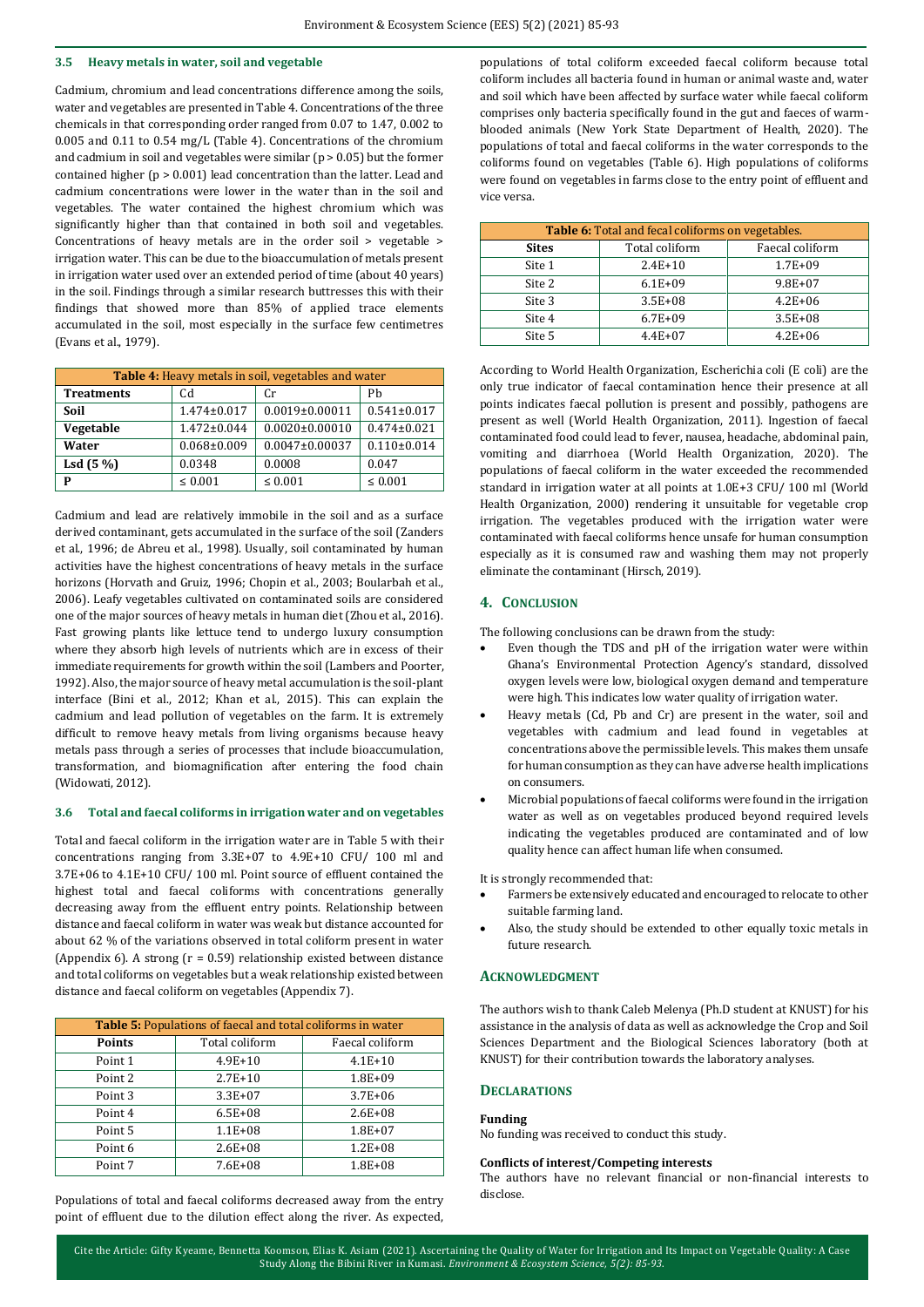#### **3.5 Heavy metals in water, soil and vegetable**

Cadmium, chromium and lead concentrations difference among the soils, water and vegetables are presented in Table 4. Concentrations of the three chemicals in that corresponding order ranged from 0.07 to 1.47, 0.002 to 0.005 and 0.11 to 0.54 mg/L (Table 4). Concentrations of the chromium and cadmium in soil and vegetables were similar (p > 0.05) but the former contained higher (p > 0.001) lead concentration than the latter. Lead and cadmium concentrations were lower in the water than in the soil and vegetables. The water contained the highest chromium which was significantly higher than that contained in both soil and vegetables. Concentrations of heavy metals are in the order soil > vegetable > irrigation water. This can be due to the bioaccumulation of metals present in irrigation water used over an extended period of time (about 40 years) in the soil. Findings through a similar research buttresses this with their findings that showed more than 85% of applied trace elements accumulated in the soil, most especially in the surface few centimetres (Evans et al., 1979).

| Table 4: Heavy metals in soil, vegetables and water |                   |                      |                   |
|-----------------------------------------------------|-------------------|----------------------|-------------------|
| <b>Treatments</b>                                   | Cd                | Сr                   | Ph                |
| Soil                                                | 1.474±0.017       | $0.0019 \pm 0.00011$ | $0.541 \pm 0.017$ |
| Vegetable                                           | 1.472±0.044       | $0.0020 \pm 0.00010$ | $0.474 \pm 0.021$ |
| Water                                               | $0.068 \pm 0.009$ | $0.0047 \pm 0.00037$ | $0.110\pm0.014$   |
| Lsd $(5\%)$                                         | 0.0348            | 0.0008               | 0.047             |
| P                                                   | $\leq 0.001$      | $\leq 0.001$         | $\leq 0.001$      |

Cadmium and lead are relatively immobile in the soil and as a surface derived contaminant, gets accumulated in the surface of the soil (Zanders et al., 1996; de Abreu et al., 1998). Usually, soil contaminated by human activities have the highest concentrations of heavy metals in the surface horizons (Horvath and Gruiz, 1996; Chopin et al., 2003; Boularbah et al., 2006). Leafy vegetables cultivated on contaminated soils are considered one of the major sources of heavy metals in human diet (Zhou et al., 2016). Fast growing plants like lettuce tend to undergo luxury consumption where they absorb high levels of nutrients which are in excess of their immediate requirements for growth within the soil (Lambers and Poorter, 1992). Also, the major source of heavy metal accumulation is the soil-plant interface (Bini et al., 2012; Khan et al., 2015). This can explain the cadmium and lead pollution of vegetables on the farm. It is extremely difficult to remove heavy metals from living organisms because heavy metals pass through a series of processes that include bioaccumulation, transformation, and biomagnification after entering the food chain (Widowati, 2012).

#### **3.6 Total and faecal coliforms in irrigation water and on vegetables**

Total and faecal coliform in the irrigation water are in Table 5 with their concentrations ranging from 3.3E+07 to 4.9E+10 CFU/ 100 ml and 3.7E+06 to 4.1E+10 CFU/ 100 ml. Point source of effluent contained the highest total and faecal coliforms with concentrations generally decreasing away from the effluent entry points. Relationship between distance and faecal coliform in water was weak but distance accounted for about 62 % of the variations observed in total coliform present in water (Appendix 6). A strong (r = 0.59) relationship existed between distance and total coliforms on vegetables but a weak relationship existed between distance and faecal coliform on vegetables (Appendix 7).

| <b>Table 5: Populations of faecal and total coliforms in water</b> |                |                 |  |
|--------------------------------------------------------------------|----------------|-----------------|--|
| <b>Points</b>                                                      | Total coliform | Faecal coliform |  |
| Point 1                                                            | $4.9E + 10$    | $4.1E + 10$     |  |
| Point 2                                                            | $2.7E+10$      | $1.8E + 09$     |  |
| Point 3                                                            | $3.3E + 07$    | $3.7E + 06$     |  |
| Point 4                                                            | $6.5E + 08$    | $2.6E + 08$     |  |
| Point 5                                                            | $1.1E + 08$    | $1.8E + 07$     |  |
| Point 6                                                            | $2.6E + 08$    | $1.2E + 08$     |  |
| Point 7                                                            | $7.6E + 08$    | $1.8E + 08$     |  |

Populations of total and faecal coliforms decreased away from the entry point of effluent due to the dilution effect along the river. As expected,

populations of total coliform exceeded faecal coliform because total coliform includes all bacteria found in human or animal waste and, water and soil which have been affected by surface water while faecal coliform comprises only bacteria specifically found in the gut and faeces of warmblooded animals (New York State Department of Health, 2020). The populations of total and faecal coliforms in the water corresponds to the coliforms found on vegetables (Table 6). High populations of coliforms were found on vegetables in farms close to the entry point of effluent and vice versa.

| Table 6: Total and fecal coliforms on vegetables. |                |                 |  |
|---------------------------------------------------|----------------|-----------------|--|
| <b>Sites</b>                                      | Total coliform | Faecal coliform |  |
| Site 1                                            | $2.4E+10$      | $1.7E + 09$     |  |
| Site 2                                            | $6.1E + 09$    | $9.8E + 07$     |  |
| Site 3                                            | $3.5E + 08$    | $4.2E + 06$     |  |
| Site 4                                            | $6.7E + 09$    | $3.5E + 08$     |  |
| Site 5                                            | $4.4E+07$      | $4.2E + 06$     |  |

According to World Health Organization, Escherichia coli (E coli) are the only true indicator of faecal contamination hence their presence at all points indicates faecal pollution is present and possibly, pathogens are present as well (World Health Organization, 2011). Ingestion of faecal contaminated food could lead to fever, nausea, headache, abdominal pain, vomiting and diarrhoea (World Health Organization, 2020). The populations of faecal coliform in the water exceeded the recommended standard in irrigation water at all points at 1.0E+3 CFU/ 100 ml (World Health Organization, 2000) rendering it unsuitable for vegetable crop irrigation. The vegetables produced with the irrigation water were contaminated with faecal coliforms hence unsafe for human consumption especially as it is consumed raw and washing them may not properly eliminate the contaminant (Hirsch, 2019).

# **4. CONCLUSION**

The following conclusions can be drawn from the study:

- Even though the TDS and pH of the irrigation water were within Ghana's Environmental Protection Agency's standard, dissolved oxygen levels were low, biological oxygen demand and temperature were high. This indicates low water quality of irrigation water.
- Heavy metals (Cd, Pb and Cr) are present in the water, soil and vegetables with cadmium and lead found in vegetables at concentrations above the permissible levels. This makes them unsafe for human consumption as they can have adverse health implications on consumers.
- Microbial populations of faecal coliforms were found in the irrigation water as well as on vegetables produced beyond required levels indicating the vegetables produced are contaminated and of low quality hence can affect human life when consumed.

It is strongly recommended that:

- Farmers be extensively educated and encouraged to relocate to other suitable farming land.
- Also, the study should be extended to other equally toxic metals in future research.

## **ACKNOWLEDGMENT**

The authors wish to thank Caleb Melenya (Ph.D student at KNUST) for his assistance in the analysis of data as well as acknowledge the Crop and Soil Sciences Department and the Biological Sciences laboratory (both at KNUST) for their contribution towards the laboratory analyses.

# **DECLARATIONS**

#### **Funding**

No funding was received to conduct this study.

#### **Conflicts of interest/Competing interests**

The authors have no relevant financial or non-financial interests to disclose.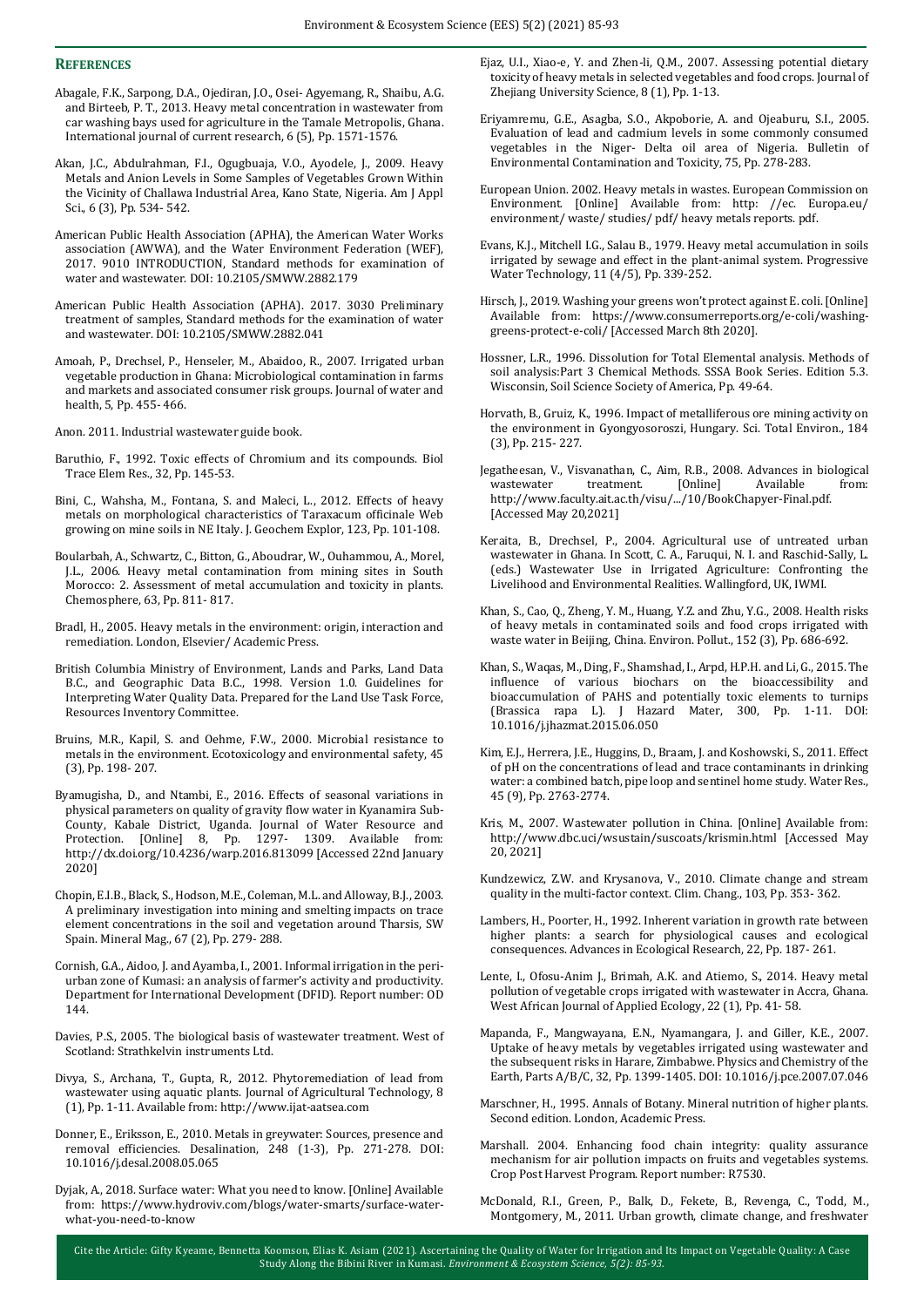#### **REFERENCES**

- Abagale, F.K., Sarpong, D.A., Ojediran, J.O., Osei- Agyemang, R., Shaibu, A.G. and Birteeb, P. T., 2013. Heavy metal concentration in wastewater from car washing bays used for agriculture in the Tamale Metropolis, Ghana. International journal of current research, 6 (5), Pp. 1571-1576.
- Akan, J.C., Abdulrahman, F.I., Ogugbuaja, V.O., Ayodele, J., 2009. Heavy Metals and Anion Levels in Some Samples of Vegetables Grown Within the Vicinity of Challawa Industrial Area, Kano State, Nigeria. Am J Appl Sci., 6 (3), Pp. 534- 542.
- American Public Health Association (APHA), the American Water Works association (AWWA), and the Water Environment Federation (WEF), 2017. 9010 INTRODUCTION, Standard methods for examination of water and wastewater. DOI: 10.2105/SMWW.2882.179
- American Public Health Association (APHA). 2017. 3030 Preliminary treatment of samples, Standard methods for the examination of water and wastewater. DOI: 10.2105/SMWW.2882.041
- Amoah, P., Drechsel, P., Henseler, M., Abaidoo, R., 2007. Irrigated urban vegetable production in Ghana: Microbiological contamination in farms and markets and associated consumer risk groups. Journal of water and health, 5, Pp. 455- 466.
- Anon. 2011. Industrial wastewater guide book.
- Baruthio, F., 1992. Toxic effects of Chromium and its compounds. Biol Trace Elem Res., 32, Pp. 145-53.
- Bini, C., Wahsha, M., Fontana, S. and Maleci, L., 2012. Effects of heavy metals on morphological characteristics of Taraxacum officinale Web growing on mine soils in NE Italy. J. Geochem Explor, 123, Pp. 101-108.
- Boularbah, A., Schwartz, C., Bitton, G., Aboudrar, W., Ouhammou, A., Morel, J.L., 2006. Heavy metal contamination from mining sites in South Morocco: 2. Assessment of metal accumulation and toxicity in plants. Chemosphere, 63, Pp. 811- 817.
- Bradl, H., 2005. Heavy metals in the environment: origin, interaction and remediation. London, Elsevier/ Academic Press.
- British Columbia Ministry of Environment, Lands and Parks, Land Data B.C., and Geographic Data B.C., 1998. Version 1.0. Guidelines for Interpreting Water Quality Data. Prepared for the Land Use Task Force, Resources Inventory Committee.
- Bruins, M.R., Kapil, S. and Oehme, F.W., 2000. Microbial resistance to metals in the environment. Ecotoxicology and environmental safety, 45 (3), Pp. 198- 207.
- Byamugisha, D., and Ntambi, E., 2016. Effects of seasonal variations in physical parameters on quality of gravity flow water in Kyanamira Sub-County, Kabale District, Uganda. Journal of Water Resource and Protection. [Online] 8, Pp. 1297- 1309. Available from: http://dx.doi.org/10.4236/warp.2016.813099 [Accessed 22nd January 2020]
- Chopin, E.I.B., Black, S., Hodson, M.E., Coleman, M.L. and Alloway, B.J., 2003. A preliminary investigation into mining and smelting impacts on trace element concentrations in the soil and vegetation around Tharsis, SW Spain. Mineral Mag., 67 (2), Pp. 279- 288.
- Cornish, G.A., Aidoo, J. and Ayamba, I., 2001. Informal irrigation in the periurban zone of Kumasi: an analysis of farmer's activity and productivity. Department for International Development (DFID). Report number: OD 144.
- Davies, P.S., 2005. The biological basis of wastewater treatment. West of Scotland: Strathkelvin instruments Ltd.
- Divya, S., Archana, T., Gupta, R., 2012. Phytoremediation of lead from wastewater using aquatic plants. Journal of Agricultural Technology, 8 (1), Pp. 1-11. Available from: http://www.ijat-aatsea.com
- Donner, E., Eriksson, E., 2010. Metals in greywater: Sources, presence and removal efficiencies. Desalination, 248 (1-3), Pp. 271-278. DOI: 10.1016/j.desal.2008.05.065
- Dyjak, A., 2018. Surface water: What you need to know. [Online] Available from: https://www.hydroviv.com/blogs/water-smarts/surface-waterwhat-you-need-to-know
- Ejaz, U.I., Xiao-e, Y. and Zhen-li, Q.M., 2007. Assessing potential dietary toxicity of heavy metals in selected vegetables and food crops. Journal of Zhejiang University Science, 8 (1), Pp. 1-13.
- Eriyamremu, G.E., Asagba, S.O., Akpoborie, A. and Ojeaburu, S.I., 2005. Evaluation of lead and cadmium levels in some commonly consumed vegetables in the Niger- Delta oil area of Nigeria. Bulletin of Environmental Contamination and Toxicity, 75, Pp. 278-283.
- European Union. 2002. Heavy metals in wastes. European Commission on Environment. [Online] Available from: http: //ec. Europa.eu/ environment/ waste/ studies/ pdf/ heavy metals reports. pdf.
- Evans, K.J., Mitchell I.G., Salau B., 1979. Heavy metal accumulation in soils irrigated by sewage and effect in the plant-animal system. Progressive Water Technology, 11 (4/5), Pp. 339-252.
- Hirsch, J., 2019. Washing your greens won't protect against E. coli. [Online] Available from: https://www.consumerreports.org/e-coli/washinggreens-protect-e-coli/ [Accessed March 8th 2020].
- Hossner, L.R., 1996. Dissolution for Total Elemental analysis. Methods of soil analysis:Part 3 Chemical Methods. SSSA Book Series. Edition 5.3. Wisconsin, Soil Science Society of America, Pp. 49-64.
- Horvath, B., Gruiz, K., 1996. Impact of metalliferous ore mining activity on the environment in Gyongyosoroszi, Hungary. Sci. Total Environ., 184 (3), Pp. 215- 227.
- Jegatheesan, V., Visvanathan, C., Aim, R.B., 2008. Advances in biological wastewater treatment. [Online] Available from: http://www.faculty.ait.ac.th/visu/.../10/BookChapyer-Final.pdf. [Accessed May 20,2021]
- Keraita, B., Drechsel, P., 2004. Agricultural use of untreated urban wastewater in Ghana. In Scott, C. A., Faruqui, N. I. and Raschid-Sally, L. (eds.) Wastewater Use in Irrigated Agriculture: Confronting the Livelihood and Environmental Realities. Wallingford, UK, IWMI.
- Khan, S., Cao, Q., Zheng, Y. M., Huang, Y.Z. and Zhu, Y.G., 2008. Health risks of heavy metals in contaminated soils and food crops irrigated with waste water in Beijing, China. Environ. Pollut., 152 (3), Pp. 686-692.
- Khan, S., Waqas, M., Ding, F., Shamshad, I., Arpd, H.P.H. and Li, G., 2015. The influence of various biochars on the bioaccessibility and bioaccumulation of PAHS and potentially toxic elements to turnips (Brassica rapa L). J Hazard Mater, 300, Pp. 1-11. DOI: 10.1016/j.jhazmat.2015.06.050
- Kim, E.J., Herrera, J.E., Huggins, D., Braam, J. and Koshowski, S., 2011. Effect of pH on the concentrations of lead and trace contaminants in drinking water: a combined batch, pipe loop and sentinel home study. Water Res., 45 (9), Pp. 2763-2774.
- Kris, M., 2007. Wastewater pollution in China. [Online] Available from: http://www.dbc.uci/wsustain/suscoats/krismin.html [Accessed May 20, 2021]
- Kundzewicz, Z.W. and Krysanova, V., 2010. Climate change and stream quality in the multi-factor context. Clim. Chang., 103, Pp. 353- 362.
- Lambers, H., Poorter, H., 1992. Inherent variation in growth rate between higher plants: a search for physiological causes and ecological consequences. Advances in Ecological Research, 22, Pp. 187- 261.
- Lente, I., Ofosu-Anim J., Brimah, A.K. and Atiemo, S., 2014. Heavy metal pollution of vegetable crops irrigated with wastewater in Accra, Ghana. West African Journal of Applied Ecology, 22 (1), Pp. 41- 58.
- Mapanda, F., Mangwayana, E.N., Nyamangara, J. and Giller, K.E., 2007. Uptake of heavy metals by vegetables irrigated using wastewater and the subsequent risks in Harare, Zimbabwe. Physics and Chemistry of the Earth, Parts A/B/C, 32, Pp. 1399-1405. DOI: 10.1016/j.pce.2007.07.046
- Marschner, H., 1995. Annals of Botany. Mineral nutrition of higher plants. Second edition. London, Academic Press.
- Marshall. 2004. Enhancing food chain integrity: quality assurance mechanism for air pollution impacts on fruits and vegetables systems. Crop Post Harvest Program. Report number: R7530.
- McDonald, R.I., Green, P., Balk, D., Fekete, B., Revenga, C., Todd, M., Montgomery, M., 2011. Urban growth, climate change, and freshwater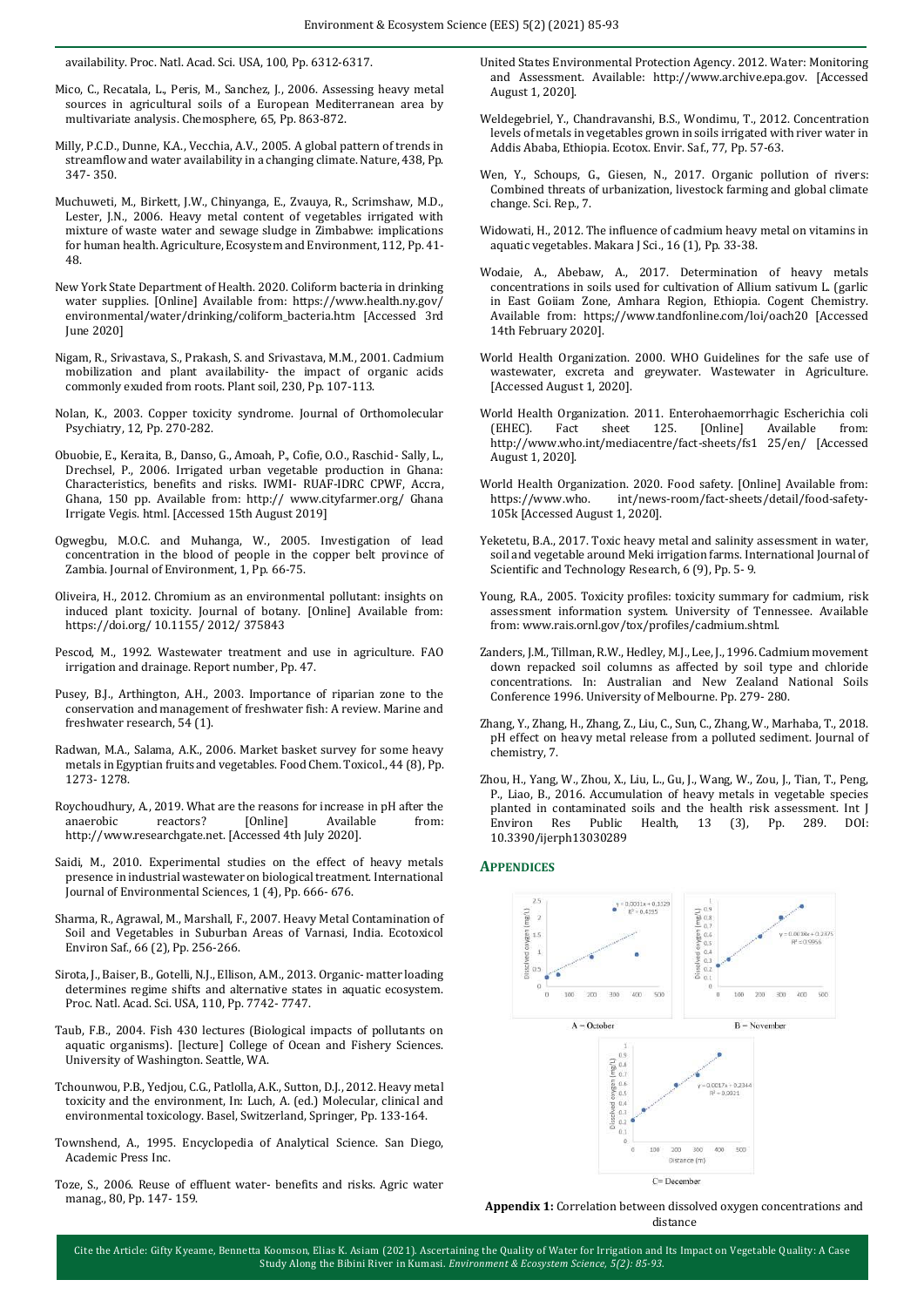availability. Proc. Natl. Acad. Sci. USA, 100, Pp. 6312-6317.

- Mico, C., Recatala, L., Peris, M., Sanchez, J., 2006. Assessing heavy metal sources in agricultural soils of a European Mediterranean area by multivariate analysis. Chemosphere, 65, Pp. 863-872.
- Milly, P.C.D., Dunne, K.A., Vecchia, A.V., 2005. A global pattern of trends in streamflow and water availability in a changing climate. Nature, 438, Pp. 347- 350.
- Muchuweti, M., Birkett, J.W., Chinyanga, E., Zvauya, R., Scrimshaw, M.D., Lester, J.N., 2006. Heavy metal content of vegetables irrigated with mixture of waste water and sewage sludge in Zimbabwe: implications for human health. Agriculture, Ecosystem and Environment, 112, Pp. 41- 48.
- New York State Department of Health. 2020. Coliform bacteria in drinking water supplies. [Online] Available from: https://www.health.ny.gov/ environmental/water/drinking/coliform\_bacteria.htm [Accessed 3rd June 2020]
- Nigam, R., Srivastava, S., Prakash, S. and Srivastava, M.M., 2001. Cadmium mobilization and plant availability- the impact of organic acids commonly exuded from roots. Plant soil, 230, Pp. 107-113.
- Nolan, K., 2003. Copper toxicity syndrome. Journal of Orthomolecular Psychiatry, 12, Pp. 270-282.
- Obuobie, E., Keraita, B., Danso, G., Amoah, P., Cofie, O.O., Raschid- Sally, L., Drechsel, P., 2006. Irrigated urban vegetable production in Ghana: Characteristics, benefits and risks. IWMI- RUAF-IDRC CPWF, Accra, Ghana, 150 pp. Available from: http:// www.cityfarmer.org/ Ghana Irrigate Vegis. html. [Accessed 15th August 2019]
- Ogwegbu, M.O.C. and Muhanga, W., 2005. Investigation of lead concentration in the blood of people in the copper belt province of Zambia. Journal of Environment, 1, Pp. 66-75.
- Oliveira, H., 2012. Chromium as an environmental pollutant: insights on induced plant toxicity. Journal of botany. [Online] Available from: https://doi.org/ 10.1155/ 2012/ 375843
- Pescod, M., 1992. Wastewater treatment and use in agriculture. FAO irrigation and drainage. Report number, Pp. 47.
- Pusey, B.J., Arthington, A.H., 2003. Importance of riparian zone to the conservation and management of freshwater fish: A review. Marine and freshwater research, 54 (1).
- Radwan, M.A., Salama, A.K., 2006. Market basket survey for some heavy metals in Egyptian fruits and vegetables. Food Chem. Toxicol., 44 (8), Pp. 1273- 1278.
- Roychoudhury, A., 2019. What are the reasons for increase in pH after the anaerobic reactors? [Online] Available from: http://www.researchgate.net. [Accessed 4th July 2020].
- Saidi, M., 2010. Experimental studies on the effect of heavy metals presence in industrial wastewater on biological treatment. International Journal of Environmental Sciences, 1 (4), Pp. 666- 676.
- Sharma, R., Agrawal, M., Marshall, F., 2007. Heavy Metal Contamination of Soil and Vegetables in Suburban Areas of Varnasi, India. Ecotoxicol Environ Saf., 66 (2), Pp. 256-266.
- Sirota, J., Baiser, B., Gotelli, N.J., Ellison, A.M., 2013. Organic- matter loading determines regime shifts and alternative states in aquatic ecosystem. Proc. Natl. Acad. Sci. USA, 110, Pp. 7742- 7747.
- Taub, F.B., 2004. Fish 430 lectures (Biological impacts of pollutants on aquatic organisms). [lecture] College of Ocean and Fishery Sciences. University of Washington. Seattle, WA.
- Tchounwou, P.B., Yedjou, C.G., Patlolla, A.K., Sutton, D.J., 2012. Heavy metal toxicity and the environment, In: Luch, A. (ed.) Molecular, clinical and environmental toxicology. Basel, Switzerland, Springer, Pp. 133-164.
- Townshend, A., 1995. Encyclopedia of Analytical Science. San Diego, Academic Press Inc.
- Toze, S., 2006. Reuse of effluent water- benefits and risks. Agric water manag., 80, Pp. 147- 159.
- United States Environmental Protection Agency. 2012. Water: Monitoring and Assessment. Available: http://www.archive.epa.gov. [Accessed August 1, 2020].
- Weldegebriel, Y., Chandravanshi, B.S., Wondimu, T., 2012. Concentration levels of metals in vegetables grown in soils irrigated with river water in Addis Ababa, Ethiopia. Ecotox. Envir. Saf., 77, Pp. 57-63.
- Wen, Y., Schoups, G., Giesen, N., 2017. Organic pollution of rivers: Combined threats of urbanization, livestock farming and global climate change. Sci. Rep., 7.
- Widowati, H., 2012. The influence of cadmium heavy metal on vitamins in aquatic vegetables. Makara J Sci., 16 (1), Pp. 33-38.
- Wodaie, A., Abebaw, A., 2017. Determination of heavy metals concentrations in soils used for cultivation of Allium sativum L. (garlic in East Goiiam Zone, Amhara Region, Ethiopia. Cogent Chemistry. Available from: https;//www.tandfonline.com/loi/oach20 [Accessed 14th February 2020].
- World Health Organization. 2000. WHO Guidelines for the safe use of wastewater, excreta and greywater. Wastewater in Agriculture. [Accessed August 1, 2020].
- World Health Organization. 2011. Enterohaemorrhagic Escherichia coli (EHEC). Fact sheet 125. [Online] Available from: http://www.who.int/mediacentre/fact-sheets/fs1 25/en/ [Accessed August 1, 2020].
- World Health Organization. 2020. Food safety. [Online] Available from: https://www.who. int/news-room/fact-sheets/detail/food-safety-105k [Accessed August 1, 2020].
- Yeketetu, B.A., 2017. Toxic heavy metal and salinity assessment in water, soil and vegetable around Meki irrigation farms. International Journal of Scientific and Technology Research, 6 (9), Pp. 5- 9.
- Young, R.A., 2005. Toxicity profiles: toxicity summary for cadmium, risk assessment information system. University of Tennessee. Available from: www.rais.ornl.gov/tox/profiles/cadmium.shtml.
- Zanders, J.M., Tillman, R.W., Hedley, M.J., Lee, J., 1996. Cadmium movement down repacked soil columns as affected by soil type and chloride concentrations. In: Australian and New Zealand National Soils Conference 1996. University of Melbourne. Pp. 279- 280.
- Zhang, Y., Zhang, H., Zhang, Z., Liu, C., Sun, C., Zhang, W., Marhaba, T., 2018. pH effect on heavy metal release from a polluted sediment. Journal of chemistry, 7.
- Zhou, H., Yang, W., Zhou, X., Liu, L., Gu, J., Wang, W., Zou, J., Tian, T., Peng, P., Liao, B., 2016. Accumulation of heavy metals in vegetable species planted in contaminated soils and the health risk assessment. Int J Environ Res Public Health, 13 (3), Pp. 289. DOI: 10.3390/ijerph13030289

#### **APPENDICES**



**Appendix 1:** Correlation between dissolved oxygen concentrations and distance